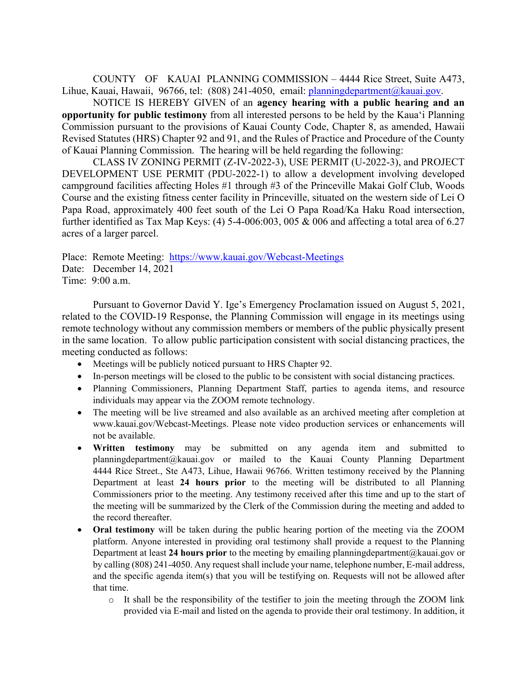COUNTY OF KAUAI PLANNING COMMISSION – 4444 Rice Street, Suite A473, Lihue, Kauai, Hawaii, 96766, tel: (808) 241-4050, email: planningdepartment@kauai.gov.

NOTICE IS HEREBY GIVEN of an **agency hearing with a public hearing and an opportunity for public testimony** from all interested persons to be held by the Kaua'i Planning Commission pursuant to the provisions of Kauai County Code, Chapter 8, as amended, Hawaii Revised Statutes (HRS) Chapter 92 and 91, and the Rules of Practice and Procedure of the County of Kauai Planning Commission. The hearing will be held regarding the following:

 CLASS IV ZONING PERMIT (Z-IV-2022-3), USE PERMIT (U-2022-3), and PROJECT DEVELOPMENT USE PERMIT (PDU-2022-1) to allow a development involving developed campground facilities affecting Holes #1 through #3 of the Princeville Makai Golf Club, Woods Course and the existing fitness center facility in Princeville, situated on the western side of Lei O Papa Road, approximately 400 feet south of the Lei O Papa Road/Ka Haku Road intersection, further identified as Tax Map Keys: (4) 5-4-006:003, 005 & 006 and affecting a total area of 6.27 acres of a larger parcel.

Place: Remote Meeting: https://www.kauai.gov/Webcast-Meetings Date: December 14, 2021

Time: 9:00 a.m.

Pursuant to Governor David Y. Ige's Emergency Proclamation issued on August 5, 2021, related to the COVID-19 Response, the Planning Commission will engage in its meetings using remote technology without any commission members or members of the public physically present in the same location. To allow public participation consistent with social distancing practices, the meeting conducted as follows:

- Meetings will be publicly noticed pursuant to HRS Chapter 92.
- In-person meetings will be closed to the public to be consistent with social distancing practices.
- Planning Commissioners, Planning Department Staff, parties to agenda items, and resource individuals may appear via the ZOOM remote technology.
- The meeting will be live streamed and also available as an archived meeting after completion at www.kauai.gov/Webcast-Meetings. Please note video production services or enhancements will not be available.
- **Written testimony** may be submitted on any agenda item and submitted to planningdepartment@kauai.gov or mailed to the Kauai County Planning Department 4444 Rice Street., Ste A473, Lihue, Hawaii 96766. Written testimony received by the Planning Department at least **24 hours prior** to the meeting will be distributed to all Planning Commissioners prior to the meeting. Any testimony received after this time and up to the start of the meeting will be summarized by the Clerk of the Commission during the meeting and added to the record thereafter.
- **Oral testimony** will be taken during the public hearing portion of the meeting via the ZOOM platform. Anyone interested in providing oral testimony shall provide a request to the Planning Department at least **24 hours prior** to the meeting by emailing planningdepartment@kauai.gov or by calling (808) 241-4050. Any request shall include your name, telephone number, E-mail address, and the specific agenda item(s) that you will be testifying on. Requests will not be allowed after that time.
	- $\circ$  It shall be the responsibility of the testifier to join the meeting through the ZOOM link provided via E-mail and listed on the agenda to provide their oral testimony. In addition, it